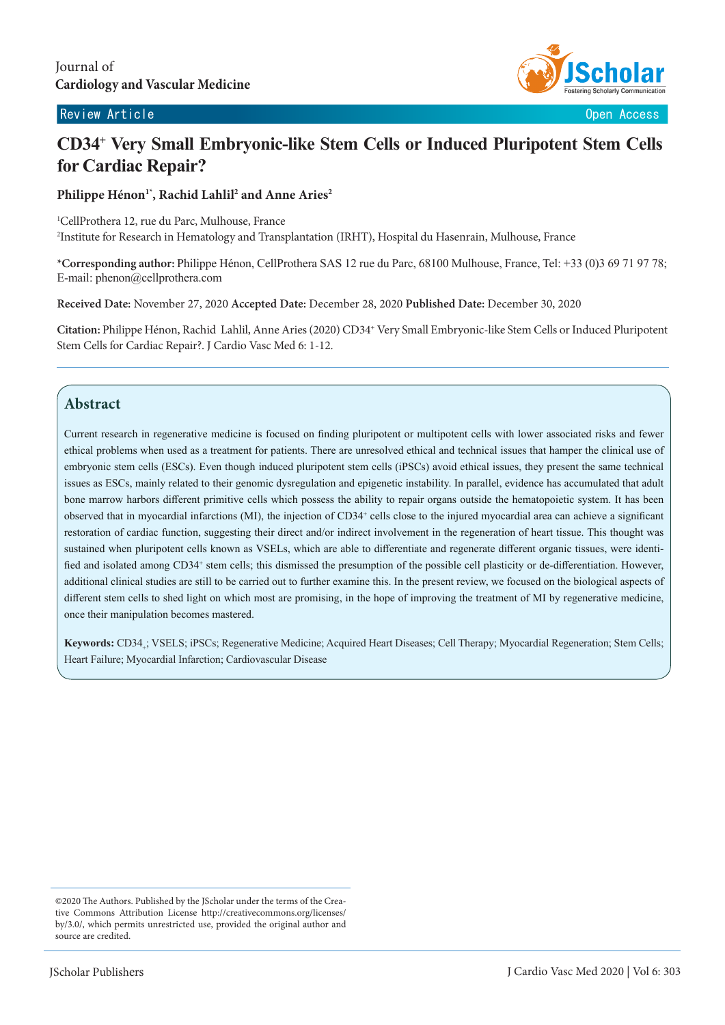#### Review Article **Contract Contract Contract Contract Contract Contract Contract Contract Contract Contract Contract Contract Contract Contract Contract Contract Contract Contract Contract Contract Contract Contract Contract**



# **CD34+ Very Small Embryonic-like Stem Cells or Induced Pluripotent Stem Cells for Cardiac Repair?**

Philippe Hénon<sup>1\*</sup>, Rachid Lahlil<sup>2</sup> and Anne Aries<sup>2</sup>

1 CellProthera 12, rue du Parc, Mulhouse, France 2 Institute for Research in Hematology and Transplantation (IRHT), Hospital du Hasenrain, Mulhouse, France

**\*Corresponding author:** Philippe Hénon, CellProthera SAS 12 rue du Parc, 68100 Mulhouse, France, Tel: +33 (0)3 69 71 97 78; E-mail: phenon@cellprothera.com

**Received Date:** November 27, 2020 **Accepted Date:** December 28, 2020 **Published Date:** December 30, 2020

**Citation:** Philippe Hénon, Rachid Lahlil, Anne Aries (2020) CD34+ Very Small Embryonic-like Stem Cells or Induced Pluripotent Stem Cells for Cardiac Repair?. J Cardio Vasc Med 6: 1-12.

# **Abstract**

Current research in regenerative medicine is focused on finding pluripotent or multipotent cells with lower associated risks and fewer ethical problems when used as a treatment for patients. There are unresolved ethical and technical issues that hamper the clinical use of embryonic stem cells (ESCs). Even though induced pluripotent stem cells (iPSCs) avoid ethical issues, they present the same technical issues as ESCs, mainly related to their genomic dysregulation and epigenetic instability. In parallel, evidence has accumulated that adult bone marrow harbors different primitive cells which possess the ability to repair organs outside the hematopoietic system. It has been observed that in myocardial infarctions (MI), the injection of CD34+ cells close to the injured myocardial area can achieve a significant restoration of cardiac function, suggesting their direct and/or indirect involvement in the regeneration of heart tissue. This thought was sustained when pluripotent cells known as VSELs, which are able to differentiate and regenerate different organic tissues, were identified and isolated among CD34<sup>+</sup> stem cells; this dismissed the presumption of the possible cell plasticity or de-differentiation. However, additional clinical studies are still to be carried out to further examine this. In the present review, we focused on the biological aspects of different stem cells to shed light on which most are promising, in the hope of improving the treatment of MI by regenerative medicine. once their manipulation becomes mastered.

Keywords: CD34<sub>+</sub>; VSELS; iPSCs; Regenerative Medicine; Acquired Heart Diseases; Cell Therapy; Myocardial Regeneration; Stem Cells; Heart Failure; Myocardial Infarction; Cardiovascular Disease

<sup>©2020</sup> The Authors. Published by the JScholar under the terms of the Creative Commons Attribution License http://creativecommons.org/licenses/ by/3.0/, which permits unrestricted use, provided the original author and source are credited.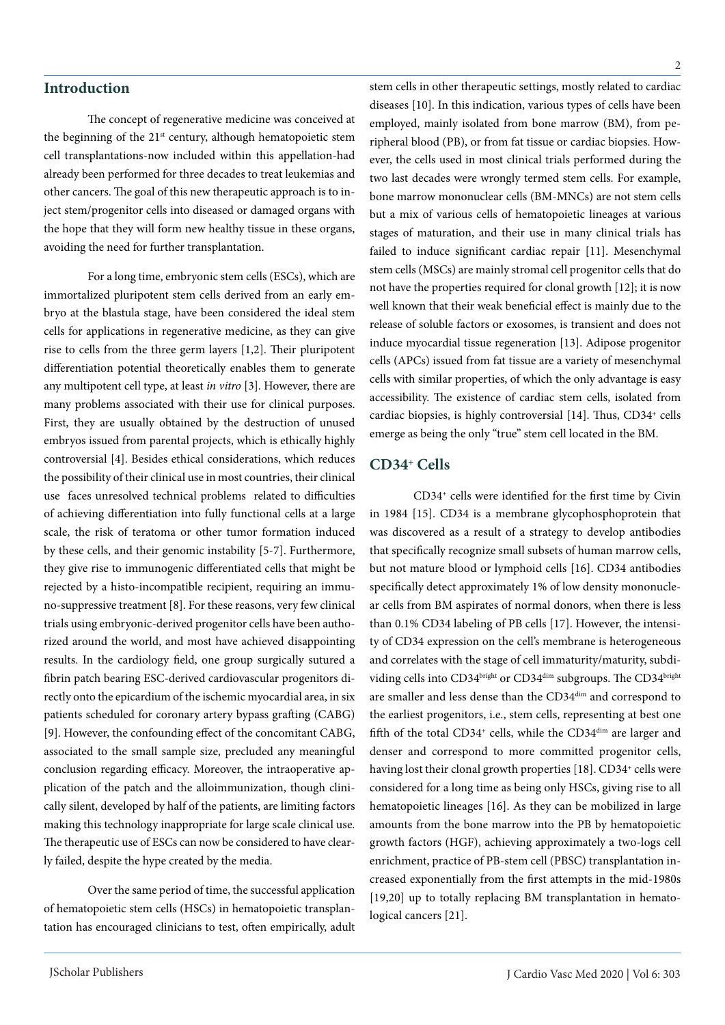#### **Introduction**

The concept of regenerative medicine was conceived at the beginning of the 21<sup>st</sup> century, although hematopoietic stem cell transplantations-now included within this appellation-had already been performed for three decades to treat leukemias and other cancers. The goal of this new therapeutic approach is to inject stem/progenitor cells into diseased or damaged organs with the hope that they will form new healthy tissue in these organs, avoiding the need for further transplantation.

For a long time, embryonic stem cells (ESCs), which are immortalized pluripotent stem cells derived from an early embryo at the blastula stage, have been considered the ideal stem cells for applications in regenerative medicine, as they can give rise to cells from the three germ layers [1,2]. Their pluripotent differentiation potential theoretically enables them to generate any multipotent cell type, at least *in vitro* [3]. However, there are many problems associated with their use for clinical purposes. First, they are usually obtained by the destruction of unused embryos issued from parental projects, which is ethically highly controversial [4]. Besides ethical considerations, which reduces the possibility of their clinical use in most countries, their clinical use faces unresolved technical problems related to difficulties of achieving differentiation into fully functional cells at a large scale, the risk of teratoma or other tumor formation induced by these cells, and their genomic instability [5-7]. Furthermore, they give rise to immunogenic differentiated cells that might be rejected by a histo-incompatible recipient, requiring an immuno-suppressive treatment [8]. For these reasons, very few clinical trials using embryonic-derived progenitor cells have been authorized around the world, and most have achieved disappointing results. In the cardiology field, one group surgically sutured a fibrin patch bearing ESC-derived cardiovascular progenitors directly onto the epicardium of the ischemic myocardial area, in six patients scheduled for coronary artery bypass grafting (CABG) [9]. However, the confounding effect of the concomitant CABG, associated to the small sample size, precluded any meaningful conclusion regarding efficacy. Moreover, the intraoperative application of the patch and the alloimmunization, though clinically silent, developed by half of the patients, are limiting factors making this technology inappropriate for large scale clinical use. The therapeutic use of ESCs can now be considered to have clearly failed, despite the hype created by the media.

Over the same period of time, the successful application of hematopoietic stem cells (HSCs) in hematopoietic transplantation has encouraged clinicians to test, often empirically, adult stem cells in other therapeutic settings, mostly related to cardiac diseases [10]. In this indication, various types of cells have been employed, mainly isolated from bone marrow (BM), from peripheral blood (PB), or from fat tissue or cardiac biopsies. However, the cells used in most clinical trials performed during the two last decades were wrongly termed stem cells. For example, bone marrow mononuclear cells (BM-MNCs) are not stem cells but a mix of various cells of hematopoietic lineages at various stages of maturation, and their use in many clinical trials has failed to induce significant cardiac repair [11]. Mesenchymal stem cells (MSCs) are mainly stromal cell progenitor cells that do not have the properties required for clonal growth [12]; it is now well known that their weak beneficial effect is mainly due to the release of soluble factors or exosomes, is transient and does not induce myocardial tissue regeneration [13]. Adipose progenitor cells (APCs) issued from fat tissue are a variety of mesenchymal cells with similar properties, of which the only advantage is easy accessibility. The existence of cardiac stem cells, isolated from cardiac biopsies, is highly controversial [14]. Thus, CD34<sup>+</sup> cells emerge as being the only "true" stem cell located in the BM.

#### **CD34+ Cells**

CD34+ cells were identified for the first time by Civin in 1984 [15]. CD34 is a membrane glycophosphoprotein that was discovered as a result of a strategy to develop antibodies that specifically recognize small subsets of human marrow cells, but not mature blood or lymphoid cells [16]. CD34 antibodies specifically detect approximately 1% of low density mononuclear cells from BM aspirates of normal donors, when there is less than 0.1% CD34 labeling of PB cells [17]. However, the intensity of CD34 expression on the cell's membrane is heterogeneous and correlates with the stage of cell immaturity/maturity, subdividing cells into CD34bright or CD34dim subgroups. The CD34bright are smaller and less dense than the CD34dim and correspond to the earliest progenitors, i.e., stem cells, representing at best one fifth of the total CD34<sup>+</sup> cells, while the CD34<sup>dim</sup> are larger and denser and correspond to more committed progenitor cells, having lost their clonal growth properties [18]. CD34<sup>+</sup> cells were considered for a long time as being only HSCs, giving rise to all hematopoietic lineages [16]. As they can be mobilized in large amounts from the bone marrow into the PB by hematopoietic growth factors (HGF), achieving approximately a two-logs cell enrichment, practice of PB-stem cell (PBSC) transplantation increased exponentially from the first attempts in the mid-1980s [19,20] up to totally replacing BM transplantation in hematological cancers [21].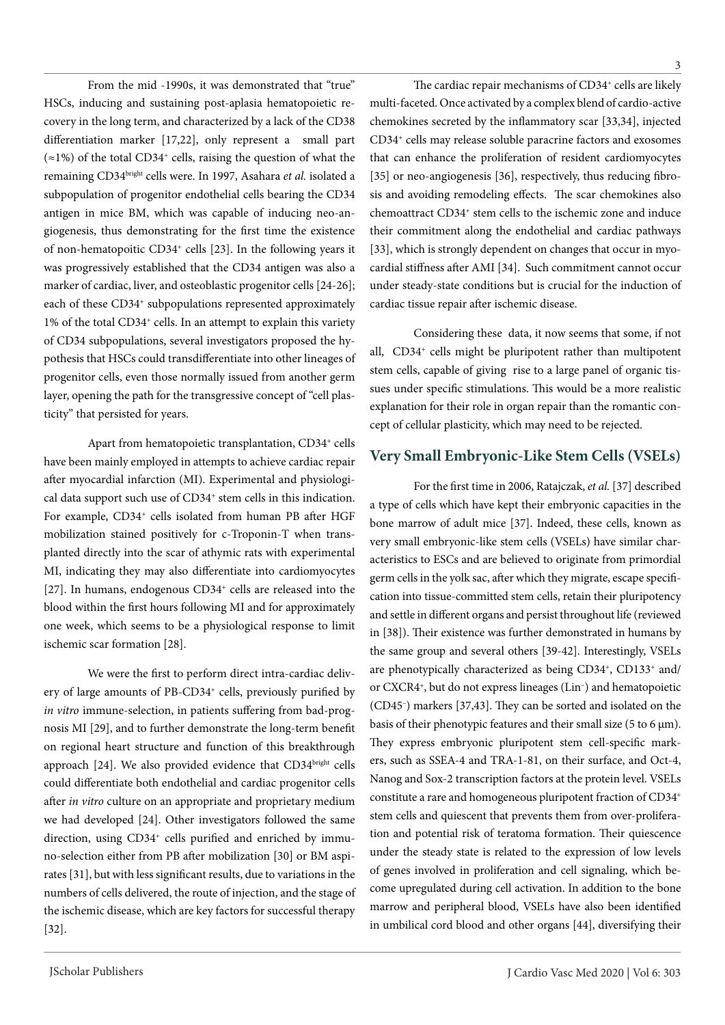From the mid -1990s, it was demonstrated that "true" HSCs, inducing and sustaining post-aplasia hematopoietic recovery in the long term, and characterized by a lack of the CD38 differentiation marker [17,22], only represent a small part  $(\approx 1\%)$  of the total CD34<sup>+</sup> cells, raising the question of what the remaining CD34bright cells were. In 1997, Asahara *et al.* isolated a subpopulation of progenitor endothelial cells bearing the CD34 antigen in mice BM, which was capable of inducing neo-angiogenesis, thus demonstrating for the first time the existence of non-hematopoitic CD34+ cells [23]. In the following years it was progressively established that the CD34 antigen was also a marker of cardiac, liver, and osteoblastic progenitor cells [24-26]; each of these CD34<sup>+</sup> subpopulations represented approximately 1% of the total CD34+ cells. In an attempt to explain this variety of CD34 subpopulations, several investigators proposed the hypothesis that HSCs could transdifferentiate into other lineages of progenitor cells, even those normally issued from another germ layer, opening the path for the transgressive concept of "cell plasticity" that persisted for years.

Apart from hematopoietic transplantation, CD34+ cells have been mainly employed in attempts to achieve cardiac repair after myocardial infarction (MI). Experimental and physiological data support such use of CD34<sup>+</sup> stem cells in this indication. For example, CD34<sup>+</sup> cells isolated from human PB after HGF mobilization stained positively for c-Troponin-T when transplanted directly into the scar of athymic rats with experimental MI, indicating they may also differentiate into cardiomyocytes [27]. In humans, endogenous CD34<sup>+</sup> cells are released into the blood within the first hours following MI and for approximately one week, which seems to be a physiological response to limit ischemic scar formation [28].

We were the first to perform direct intra-cardiac delivery of large amounts of PB-CD34<sup>+</sup> cells, previously purified by *in vitro* immune-selection, in patients suffering from bad-prognosis MI [29], and to further demonstrate the long-term benefit on regional heart structure and function of this breakthrough approach [24]. We also provided evidence that CD34bright cells could differentiate both endothelial and cardiac progenitor cells after *in vitro* culture on an appropriate and proprietary medium we had developed [24]. Other investigators followed the same direction, using CD34<sup>+</sup> cells purified and enriched by immuno-selection either from PB after mobilization [30] or BM aspirates [31], but with less significant results, due to variations in the numbers of cells delivered, the route of injection, and the stage of the ischemic disease, which are key factors for successful therapy [32].

The cardiac repair mechanisms of CD34<sup>+</sup> cells are likely multi-faceted. Once activated by a complex blend of cardio-active chemokines secreted by the inflammatory scar [33,34], injected CD34+ cells may release soluble paracrine factors and exosomes that can enhance the proliferation of resident cardiomyocytes [35] or neo-angiogenesis [36], respectively, thus reducing fibrosis and avoiding remodeling effects. The scar chemokines also chemoattract CD34+ stem cells to the ischemic zone and induce their commitment along the endothelial and cardiac pathways [33], which is strongly dependent on changes that occur in myocardial stiffness after AMI [34]. Such commitment cannot occur under steady-state conditions but is crucial for the induction of

Considering these data, it now seems that some, if not all, CD34+ cells might be pluripotent rather than multipotent stem cells, capable of giving rise to a large panel of organic tissues under specific stimulations. This would be a more realistic explanation for their role in organ repair than the romantic concept of cellular plasticity, which may need to be rejected.

cardiac tissue repair after ischemic disease.

## **Very Small Embryonic-Like Stem Cells (VSELs)**

For the first time in 2006, Ratajczak, *et al.* [37] described a type of cells which have kept their embryonic capacities in the bone marrow of adult mice [37]. Indeed, these cells, known as very small embryonic-like stem cells (VSELs) have similar characteristics to ESCs and are believed to originate from primordial germ cells in the yolk sac, after which they migrate, escape specification into tissue-committed stem cells, retain their pluripotency and settle in different organs and persist throughout life (reviewed in [38]). Their existence was further demonstrated in humans by the same group and several others [39-42]. Interestingly, VSELs are phenotypically characterized as being CD34+, CD133+ and/ or CXCR4+, but do not express lineages (Lin– ) and hematopoietic (CD45– ) markers [37,43]. They can be sorted and isolated on the basis of their phenotypic features and their small size (5 to 6  $\mu$ m). They express embryonic pluripotent stem cell-specific markers, such as SSEA-4 and TRA-1-81, on their surface, and Oct-4, Nanog and Sox-2 transcription factors at the protein level. VSELs constitute a rare and homogeneous pluripotent fraction of CD34+ stem cells and quiescent that prevents them from over-proliferation and potential risk of teratoma formation. Their quiescence under the steady state is related to the expression of low levels of genes involved in proliferation and cell signaling, which become upregulated during cell activation. In addition to the bone marrow and peripheral blood, VSELs have also been identified in umbilical cord blood and other organs [44], diversifying their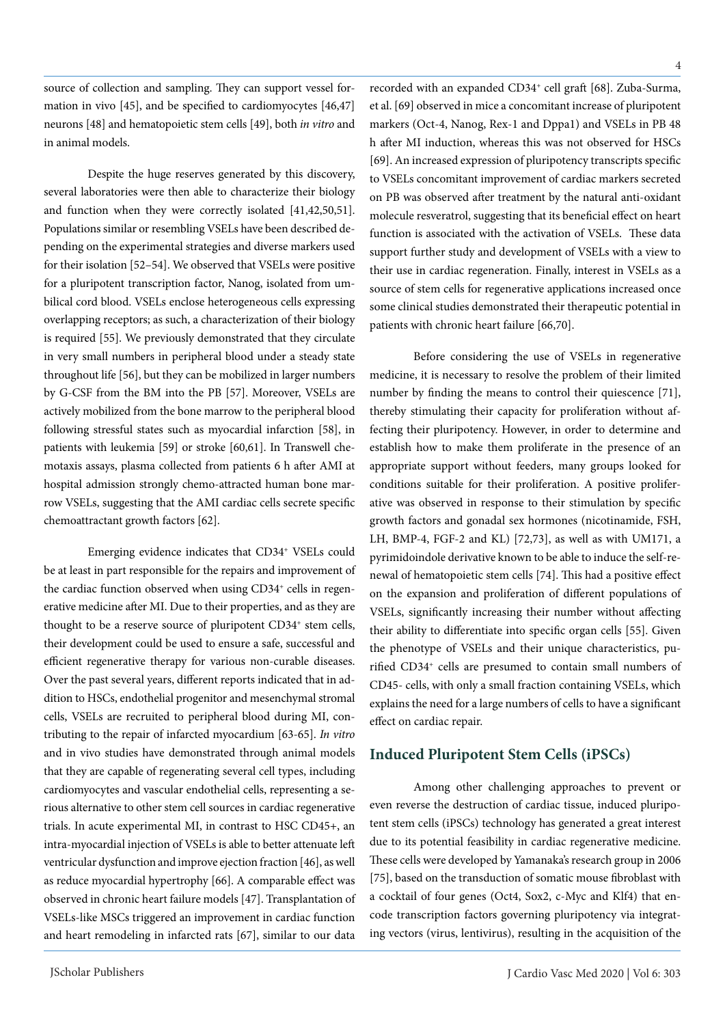source of collection and sampling. They can support vessel formation in vivo [45], and be specified to cardiomyocytes [46,47] neurons [48] and hematopoietic stem cells [49], both *in vitro* and in animal models.

Despite the huge reserves generated by this discovery, several laboratories were then able to characterize their biology and function when they were correctly isolated [41,42,50,51]. Populations similar or resembling VSELs have been described depending on the experimental strategies and diverse markers used for their isolation [52–54]. We observed that VSELs were positive for a pluripotent transcription factor, Nanog, isolated from umbilical cord blood. VSELs enclose heterogeneous cells expressing overlapping receptors; as such, a characterization of their biology is required [55]. We previously demonstrated that they circulate in very small numbers in peripheral blood under a steady state throughout life [56], but they can be mobilized in larger numbers by G-CSF from the BM into the PB [57]. Moreover, VSELs are actively mobilized from the bone marrow to the peripheral blood following stressful states such as myocardial infarction [58], in patients with leukemia [59] or stroke [60,61]. In Transwell chemotaxis assays, plasma collected from patients 6 h after AMI at hospital admission strongly chemo-attracted human bone marrow VSELs, suggesting that the AMI cardiac cells secrete specific chemoattractant growth factors [62].

Emerging evidence indicates that CD34+ VSELs could be at least in part responsible for the repairs and improvement of the cardiac function observed when using CD34<sup>+</sup> cells in regenerative medicine after MI. Due to their properties, and as they are thought to be a reserve source of pluripotent CD34<sup>+</sup> stem cells, their development could be used to ensure a safe, successful and efficient regenerative therapy for various non-curable diseases. Over the past several years, different reports indicated that in addition to HSCs, endothelial progenitor and mesenchymal stromal cells, VSELs are recruited to peripheral blood during MI, contributing to the repair of infarcted myocardium [63-65]. *In vitro* and in vivo studies have demonstrated through animal models that they are capable of regenerating several cell types, including cardiomyocytes and vascular endothelial cells, representing a serious alternative to other stem cell sources in cardiac regenerative trials. In acute experimental MI, in contrast to HSC CD45+, an intra-myocardial injection of VSELs is able to better attenuate left ventricular dysfunction and improve ejection fraction [46], as well as reduce myocardial hypertrophy [66]. A comparable effect was observed in chronic heart failure models [47]. Transplantation of VSELs-like MSCs triggered an improvement in cardiac function and heart remodeling in infarcted rats [67], similar to our data

recorded with an expanded CD34<sup>+</sup> cell graft [68]. Zuba-Surma, et al. [69] observed in mice a concomitant increase of pluripotent markers (Oct-4, Nanog, Rex-1 and Dppa1) and VSELs in PB 48 h after MI induction, whereas this was not observed for HSCs [69]. An increased expression of pluripotency transcripts specific to VSELs concomitant improvement of cardiac markers secreted on PB was observed after treatment by the natural anti-oxidant molecule resveratrol, suggesting that its beneficial effect on heart function is associated with the activation of VSELs. These data support further study and development of VSELs with a view to their use in cardiac regeneration. Finally, interest in VSELs as a source of stem cells for regenerative applications increased once some clinical studies demonstrated their therapeutic potential in patients with chronic heart failure [66,70].

Before considering the use of VSELs in regenerative medicine, it is necessary to resolve the problem of their limited number by finding the means to control their quiescence [71], thereby stimulating their capacity for proliferation without affecting their pluripotency. However, in order to determine and establish how to make them proliferate in the presence of an appropriate support without feeders, many groups looked for conditions suitable for their proliferation. A positive proliferative was observed in response to their stimulation by specific growth factors and gonadal sex hormones (nicotinamide, FSH, LH, BMP-4, FGF-2 and KL) [72,73], as well as with UM171, a pyrimidoindole derivative known to be able to induce the self-renewal of hematopoietic stem cells [74]. This had a positive effect on the expansion and proliferation of different populations of VSELs, significantly increasing their number without affecting their ability to differentiate into specific organ cells [55]. Given the phenotype of VSELs and their unique characteristics, purified CD34+ cells are presumed to contain small numbers of CD45- cells, with only a small fraction containing VSELs, which explains the need for a large numbers of cells to have a significant effect on cardiac repair.

# **Induced Pluripotent Stem Cells (iPSCs)**

Among other challenging approaches to prevent or even reverse the destruction of cardiac tissue, induced pluripotent stem cells (iPSCs) technology has generated a great interest due to its potential feasibility in cardiac regenerative medicine. These cells were developed by Yamanaka's research group in 2006 [75], based on the transduction of somatic mouse fibroblast with a cocktail of four genes (Oct4, Sox2, c-Myc and Klf4) that encode transcription factors governing pluripotency via integrating vectors (virus, lentivirus), resulting in the acquisition of the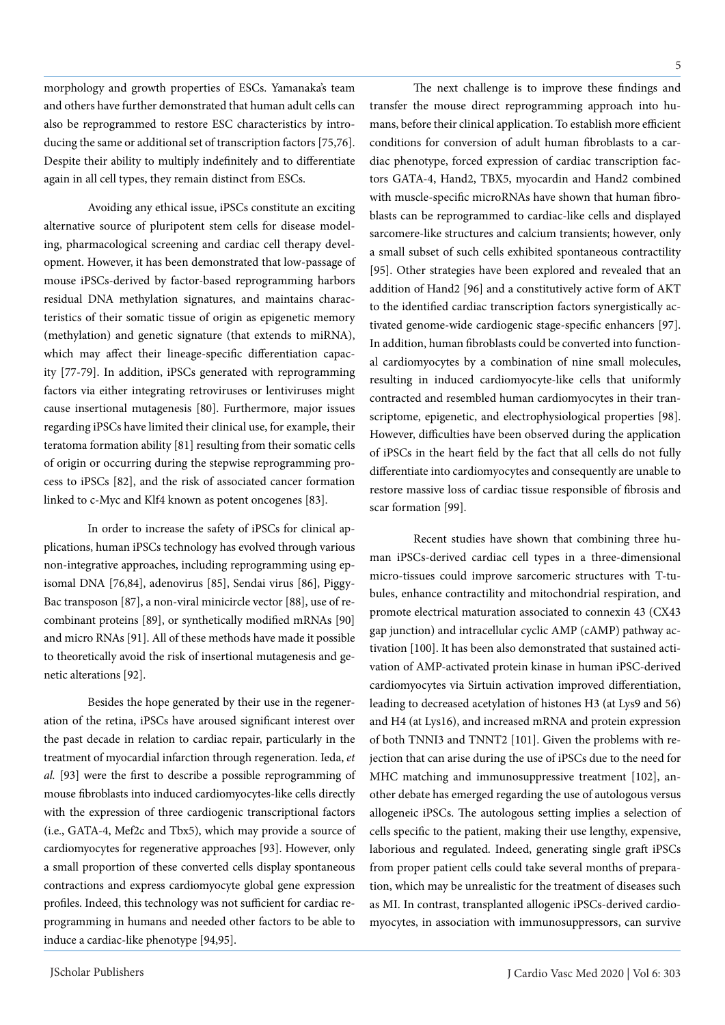again in all cell types, they remain distinct from ESCs. Avoiding any ethical issue, iPSCs constitute an exciting alternative source of pluripotent stem cells for disease model-

ing, pharmacological screening and cardiac cell therapy development. However, it has been demonstrated that low-passage of mouse iPSCs-derived by factor-based reprogramming harbors residual DNA methylation signatures, and maintains characteristics of their somatic tissue of origin as epigenetic memory (methylation) and genetic signature (that extends to miRNA), which may affect their lineage-specific differentiation capacity [77-79]. In addition, iPSCs generated with reprogramming factors via either integrating retroviruses or lentiviruses might cause insertional mutagenesis [80]. Furthermore, major issues regarding iPSCs have limited their clinical use, for example, their teratoma formation ability [81] resulting from their somatic cells of origin or occurring during the stepwise reprogramming process to iPSCs [82], and the risk of associated cancer formation linked to c-Myc and Klf4 known as potent oncogenes [83].

morphology and growth properties of ESCs. Yamanaka's team and others have further demonstrated that human adult cells can also be reprogrammed to restore ESC characteristics by introducing the same or additional set of transcription factors [75,76]. Despite their ability to multiply indefinitely and to differentiate

In order to increase the safety of iPSCs for clinical applications, human iPSCs technology has evolved through various non-integrative approaches, including reprogramming using episomal DNA [76,84], adenovirus [85], Sendai virus [86], Piggy-Bac transposon [87], a non-viral minicircle vector [88], use of recombinant proteins [89], or synthetically modified mRNAs [90] and micro RNAs [91]. All of these methods have made it possible to theoretically avoid the risk of insertional mutagenesis and genetic alterations [92].

Besides the hope generated by their use in the regeneration of the retina, iPSCs have aroused significant interest over the past decade in relation to cardiac repair, particularly in the treatment of myocardial infarction through regeneration. Ieda, *et al.* [93] were the first to describe a possible reprogramming of mouse fibroblasts into induced cardiomyocytes-like cells directly with the expression of three cardiogenic transcriptional factors (i.e., GATA-4, Mef2c and Tbx5), which may provide a source of cardiomyocytes for regenerative approaches [93]. However, only a small proportion of these converted cells display spontaneous contractions and express cardiomyocyte global gene expression profiles. Indeed, this technology was not sufficient for cardiac reprogramming in humans and needed other factors to be able to induce a cardiac-like phenotype [94,95].

The next challenge is to improve these findings and transfer the mouse direct reprogramming approach into humans, before their clinical application. To establish more efficient conditions for conversion of adult human fibroblasts to a cardiac phenotype, forced expression of cardiac transcription factors GATA-4, Hand2, TBX5, myocardin and Hand2 combined with muscle-specific microRNAs have shown that human fibroblasts can be reprogrammed to cardiac-like cells and displayed sarcomere-like structures and calcium transients; however, only a small subset of such cells exhibited spontaneous contractility [95]. Other strategies have been explored and revealed that an addition of Hand2 [96] and a constitutively active form of AKT to the identified cardiac transcription factors synergistically activated genome-wide cardiogenic stage-specific enhancers [97]. In addition, human fibroblasts could be converted into functional cardiomyocytes by a combination of nine small molecules, resulting in induced cardiomyocyte-like cells that uniformly contracted and resembled human cardiomyocytes in their transcriptome, epigenetic, and electrophysiological properties [98]. However, difficulties have been observed during the application of iPSCs in the heart field by the fact that all cells do not fully differentiate into cardiomyocytes and consequently are unable to restore massive loss of cardiac tissue responsible of fibrosis and scar formation [99].

Recent studies have shown that combining three human iPSCs-derived cardiac cell types in a three-dimensional micro-tissues could improve sarcomeric structures with T-tubules, enhance contractility and mitochondrial respiration, and promote electrical maturation associated to connexin 43 (CX43 gap junction) and intracellular cyclic AMP (cAMP) pathway activation [100]. It has been also demonstrated that sustained activation of AMP-activated protein kinase in human iPSC-derived cardiomyocytes via Sirtuin activation improved differentiation, leading to decreased acetylation of histones H3 (at Lys9 and 56) and H4 (at Lys16), and increased mRNA and protein expression of both TNNI3 and TNNT2 [101]. Given the problems with rejection that can arise during the use of iPSCs due to the need for MHC matching and immunosuppressive treatment [102], another debate has emerged regarding the use of autologous versus allogeneic iPSCs. The autologous setting implies a selection of cells specific to the patient, making their use lengthy, expensive, laborious and regulated. Indeed, generating single graft iPSCs from proper patient cells could take several months of preparation, which may be unrealistic for the treatment of diseases such as MI. In contrast, transplanted allogenic iPSCs-derived cardiomyocytes, in association with immunosuppressors, can survive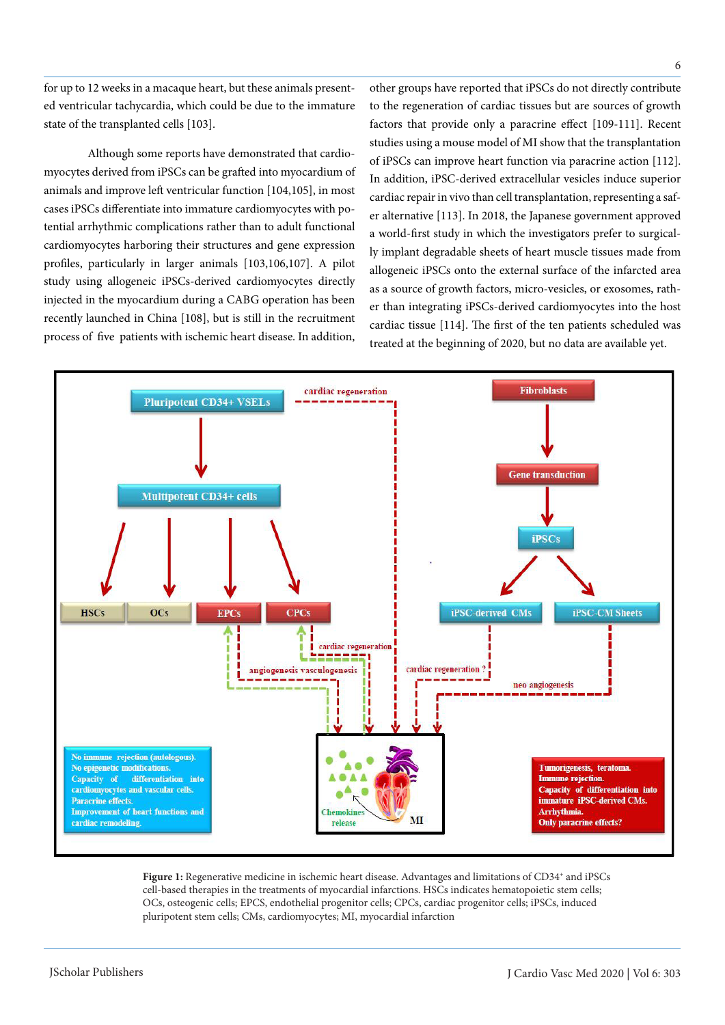for up to 12 weeks in a macaque heart, but these animals presented ventricular tachycardia, which could be due to the immature state of the transplanted cells [103].

Although some reports have demonstrated that cardiomyocytes derived from iPSCs can be grafted into myocardium of animals and improve left ventricular function [104,105], in most cases iPSCs differentiate into immature cardiomyocytes with potential arrhythmic complications rather than to adult functional cardiomyocytes harboring their structures and gene expression profiles, particularly in larger animals [103,106,107]. A pilot study using allogeneic iPSCs-derived cardiomyocytes directly injected in the myocardium during a CABG operation has been recently launched in China [108], but is still in the recruitment process of five patients with ischemic heart disease. In addition, other groups have reported that iPSCs do not directly contribute to the regeneration of cardiac tissues but are sources of growth factors that provide only a paracrine effect [109-111]. Recent studies using a mouse model of MI show that the transplantation of iPSCs can improve heart function via paracrine action [112]. In addition, iPSC-derived extracellular vesicles induce superior cardiac repair in vivo than cell transplantation, representing a safer alternative [113]. In 2018, the Japanese government approved a world-first study in which the investigators prefer to surgically implant degradable sheets of heart muscle tissues made from allogeneic iPSCs onto the external surface of the infarcted area as a source of growth factors, micro-vesicles, or exosomes, rather than integrating iPSCs-derived cardiomyocytes into the host cardiac tissue [114]. The first of the ten patients scheduled was treated at the beginning of 2020, but no data are available yet.



Figure 1: Regenerative medicine in ischemic heart disease. Advantages and limitations of CD34<sup>+</sup> and iPSCs cell-based therapies in the treatments of myocardial infarctions. HSCs indicates hematopoietic stem cells; OCs, osteogenic cells; EPCS, endothelial progenitor cells; CPCs, cardiac progenitor cells; iPSCs, induced pluripotent stem cells; CMs, cardiomyocytes; MI, myocardial infarction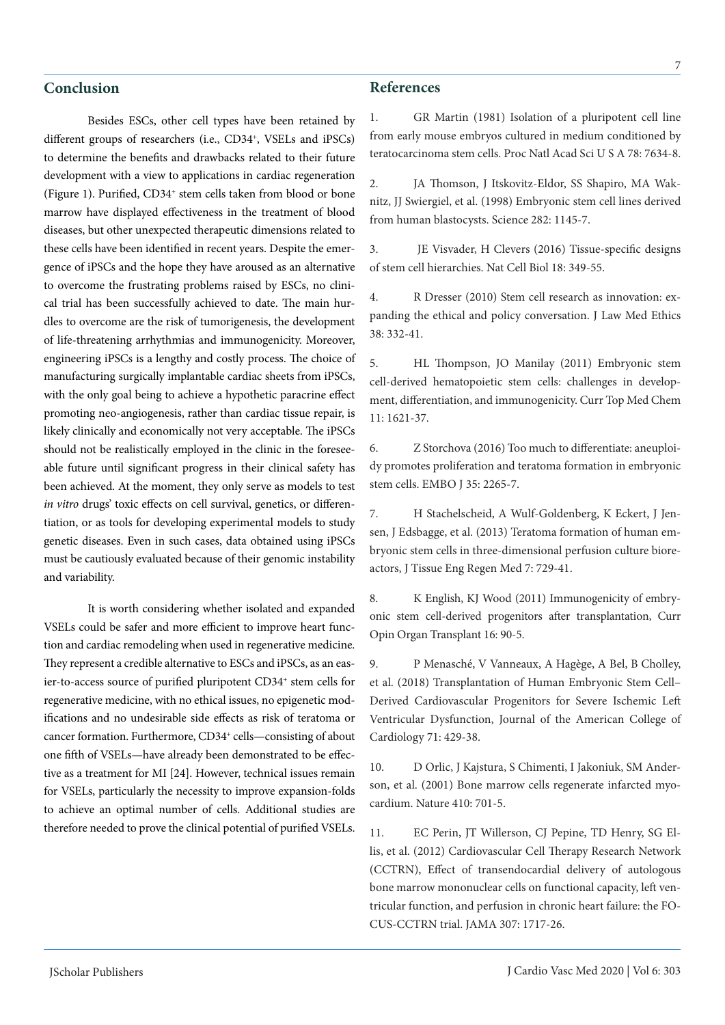# **Conclusion**

Besides ESCs, other cell types have been retained by different groups of researchers (i.e., CD34<sup>+</sup>, VSELs and iPSCs) to determine the benefits and drawbacks related to their future development with a view to applications in cardiac regeneration (Figure 1). Purified, CD34<sup>+</sup> stem cells taken from blood or bone marrow have displayed effectiveness in the treatment of blood diseases, but other unexpected therapeutic dimensions related to these cells have been identified in recent years. Despite the emergence of iPSCs and the hope they have aroused as an alternative to overcome the frustrating problems raised by ESCs, no clinical trial has been successfully achieved to date. The main hurdles to overcome are the risk of tumorigenesis, the development of life-threatening arrhythmias and immunogenicity. Moreover, engineering iPSCs is a lengthy and costly process. The choice of manufacturing surgically implantable cardiac sheets from iPSCs, with the only goal being to achieve a hypothetic paracrine effect promoting neo-angiogenesis, rather than cardiac tissue repair, is likely clinically and economically not very acceptable. The iPSCs should not be realistically employed in the clinic in the foreseeable future until significant progress in their clinical safety has been achieved. At the moment, they only serve as models to test *in vitro* drugs' toxic effects on cell survival, genetics, or differentiation, or as tools for developing experimental models to study genetic diseases. Even in such cases, data obtained using iPSCs must be cautiously evaluated because of their genomic instability and variability.

It is worth considering whether isolated and expanded VSELs could be safer and more efficient to improve heart function and cardiac remodeling when used in regenerative medicine. They represent a credible alternative to ESCs and iPSCs, as an easier-to-access source of purified pluripotent CD34<sup>+</sup> stem cells for regenerative medicine, with no ethical issues, no epigenetic modifications and no undesirable side effects as risk of teratoma or cancer formation. Furthermore, CD34+ cells—consisting of about one fifth of VSELs—have already been demonstrated to be effective as a treatment for MI [24]. However, technical issues remain for VSELs, particularly the necessity to improve expansion-folds to achieve an optimal number of cells. Additional studies are therefore needed to prove the clinical potential of purified VSELs.

#### **References**

1. GR Martin (1981) Isolation of a pluripotent cell line from early mouse embryos cultured in medium conditioned by teratocarcinoma stem cells. Proc Natl Acad Sci U S A 78: 7634-8.

2. JA Thomson, J Itskovitz-Eldor, SS Shapiro, MA Waknitz, JJ Swiergiel, et al. (1998) Embryonic stem cell lines derived from human blastocysts. Science 282: 1145-7.

3. JE Visvader, H Clevers (2016) Tissue-specific designs of stem cell hierarchies. Nat Cell Biol 18: 349-55.

4. R Dresser (2010) Stem cell research as innovation: expanding the ethical and policy conversation. J Law Med Ethics 38: 332-41.

5. HL Thompson, JO Manilay (2011) Embryonic stem cell-derived hematopoietic stem cells: challenges in development, differentiation, and immunogenicity. Curr Top Med Chem 11: 1621-37.

6. Z Storchova (2016) Too much to differentiate: aneuploidy promotes proliferation and teratoma formation in embryonic stem cells. EMBO J 35: 2265-7.

7. H Stachelscheid, A Wulf-Goldenberg, K Eckert, J Jensen, J Edsbagge, et al. (2013) Teratoma formation of human embryonic stem cells in three-dimensional perfusion culture bioreactors, J Tissue Eng Regen Med 7: 729-41.

8. K English, KJ Wood (2011) Immunogenicity of embryonic stem cell-derived progenitors after transplantation, Curr Opin Organ Transplant 16: 90-5.

9. P Menasché, V Vanneaux, A Hagège, A Bel, B Cholley, et al. (2018) Transplantation of Human Embryonic Stem Cell– Derived Cardiovascular Progenitors for Severe Ischemic Left Ventricular Dysfunction, Journal of the American College of Cardiology 71: 429-38.

10. D Orlic, J Kajstura, S Chimenti, I Jakoniuk, SM Anderson, et al. (2001) Bone marrow cells regenerate infarcted myocardium. Nature 410: 701-5.

11. EC Perin, JT Willerson, CJ Pepine, TD Henry, SG Ellis, et al. (2012) Cardiovascular Cell Therapy Research Network (CCTRN), Effect of transendocardial delivery of autologous bone marrow mononuclear cells on functional capacity, left ventricular function, and perfusion in chronic heart failure: the FO-CUS-CCTRN trial. JAMA 307: 1717-26.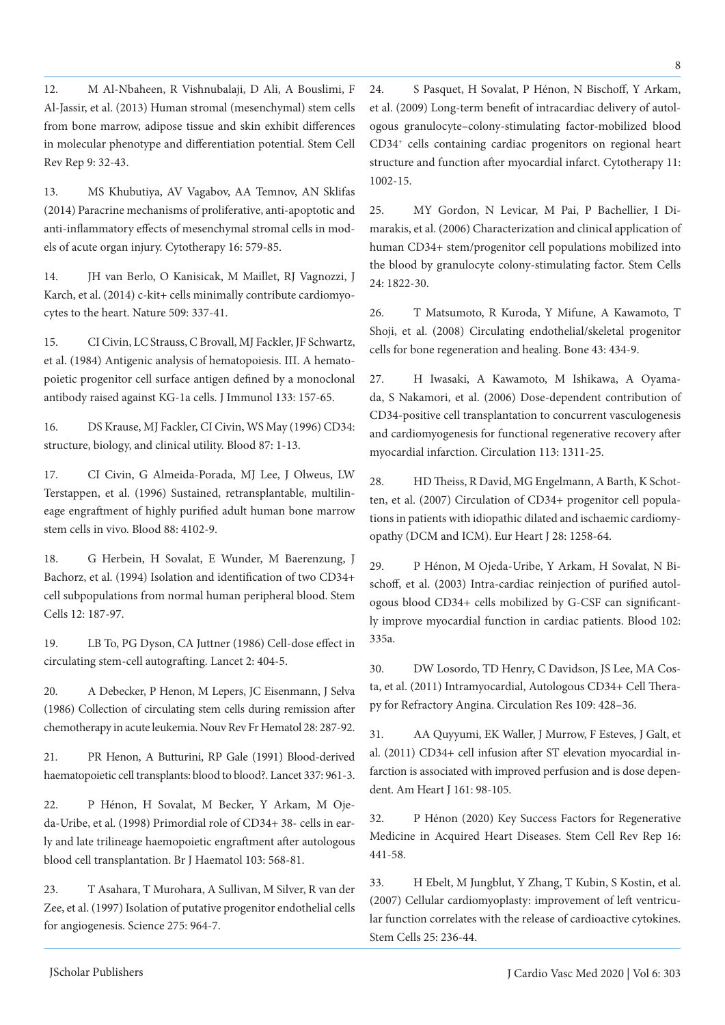12. M Al-Nbaheen, R Vishnubalaji, D Ali, A Bouslimi, F Al-Jassir, et al. (2013) Human stromal (mesenchymal) stem cells from bone marrow, adipose tissue and skin exhibit differences in molecular phenotype and differentiation potential. Stem Cell Rev Rep 9: 32-43.

13. MS Khubutiya, AV Vagabov, AA Temnov, AN Sklifas (2014) Paracrine mechanisms of proliferative, anti-apoptotic and anti-inflammatory effects of mesenchymal stromal cells in models of acute organ injury. Cytotherapy 16: 579-85.

14. JH van Berlo, O Kanisicak, M Maillet, RJ Vagnozzi, J Karch, et al. (2014) c-kit+ cells minimally contribute cardiomyocytes to the heart. Nature 509: 337-41.

15. CI Civin, LC Strauss, C Brovall, MJ Fackler, JF Schwartz, et al. (1984) Antigenic analysis of hematopoiesis. III. A hematopoietic progenitor cell surface antigen defined by a monoclonal antibody raised against KG-1a cells. J Immunol 133: 157-65.

16. DS Krause, MJ Fackler, CI Civin, WS May (1996) CD34: structure, biology, and clinical utility. Blood 87: 1-13.

17. CI Civin, G Almeida-Porada, MJ Lee, J Olweus, LW Terstappen, et al. (1996) Sustained, retransplantable, multilineage engraftment of highly purified adult human bone marrow stem cells in vivo. Blood 88: 4102-9.

18. G Herbein, H Sovalat, E Wunder, M Baerenzung, J Bachorz, et al. (1994) Isolation and identification of two CD34+ cell subpopulations from normal human peripheral blood. Stem Cells 12: 187-97.

19. LB To, PG Dyson, CA Juttner (1986) Cell-dose effect in circulating stem-cell autografting. Lancet 2: 404-5.

20. A Debecker, P Henon, M Lepers, JC Eisenmann, J Selva (1986) Collection of circulating stem cells during remission after chemotherapy in acute leukemia. Nouv Rev Fr Hematol 28: 287-92.

21. PR Henon, A Butturini, RP Gale (1991) Blood-derived haematopoietic cell transplants: blood to blood?. Lancet 337: 961-3.

22. P Hénon, H Sovalat, M Becker, Y Arkam, M Ojeda-Uribe, et al. (1998) Primordial role of CD34+ 38- cells in early and late trilineage haemopoietic engraftment after autologous blood cell transplantation. Br J Haematol 103: 568-81.

23. T Asahara, T Murohara, A Sullivan, M Silver, R van der Zee, et al. (1997) Isolation of putative progenitor endothelial cells for angiogenesis. Science 275: 964-7.

24. S Pasquet, H Sovalat, P Hénon, N Bischoff, Y Arkam, et al. (2009) Long-term benefit of intracardiac delivery of autologous granulocyte–colony-stimulating factor-mobilized blood CD34+ cells containing cardiac progenitors on regional heart structure and function after myocardial infarct. Cytotherapy 11: 1002-15.

8

25. MY Gordon, N Levicar, M Pai, P Bachellier, I Dimarakis, et al. (2006) Characterization and clinical application of human CD34+ stem/progenitor cell populations mobilized into the blood by granulocyte colony-stimulating factor. Stem Cells 24: 1822-30.

26. T Matsumoto, R Kuroda, Y Mifune, A Kawamoto, T Shoji, et al. (2008) Circulating endothelial/skeletal progenitor cells for bone regeneration and healing. Bone 43: 434-9.

27. H Iwasaki, A Kawamoto, M Ishikawa, A Oyamada, S Nakamori, et al. (2006) Dose-dependent contribution of CD34-positive cell transplantation to concurrent vasculogenesis and cardiomyogenesis for functional regenerative recovery after myocardial infarction. Circulation 113: 1311-25.

28. HD Theiss, R David, MG Engelmann, A Barth, K Schotten, et al. (2007) Circulation of CD34+ progenitor cell populations in patients with idiopathic dilated and ischaemic cardiomyopathy (DCM and ICM). Eur Heart J 28: 1258-64.

29. P Hénon, M Ojeda-Uribe, Y Arkam, H Sovalat, N Bischoff, et al. (2003) Intra-cardiac reinjection of purified autologous blood CD34+ cells mobilized by G-CSF can significantly improve myocardial function in cardiac patients. Blood 102: 335a.

30. DW Losordo, TD Henry, C Davidson, JS Lee, MA Costa, et al. (2011) Intramyocardial, Autologous CD34+ Cell Therapy for Refractory Angina. Circulation Res 109: 428–36.

31. AA Quyyumi, EK Waller, J Murrow, F Esteves, J Galt, et al. (2011) CD34+ cell infusion after ST elevation myocardial infarction is associated with improved perfusion and is dose dependent. Am Heart J 161: 98-105.

32. P Hénon (2020) Key Success Factors for Regenerative Medicine in Acquired Heart Diseases. Stem Cell Rev Rep 16: 441-58.

33. H Ebelt, M Jungblut, Y Zhang, T Kubin, S Kostin, et al. (2007) Cellular cardiomyoplasty: improvement of left ventricular function correlates with the release of cardioactive cytokines. Stem Cells 25: 236-44.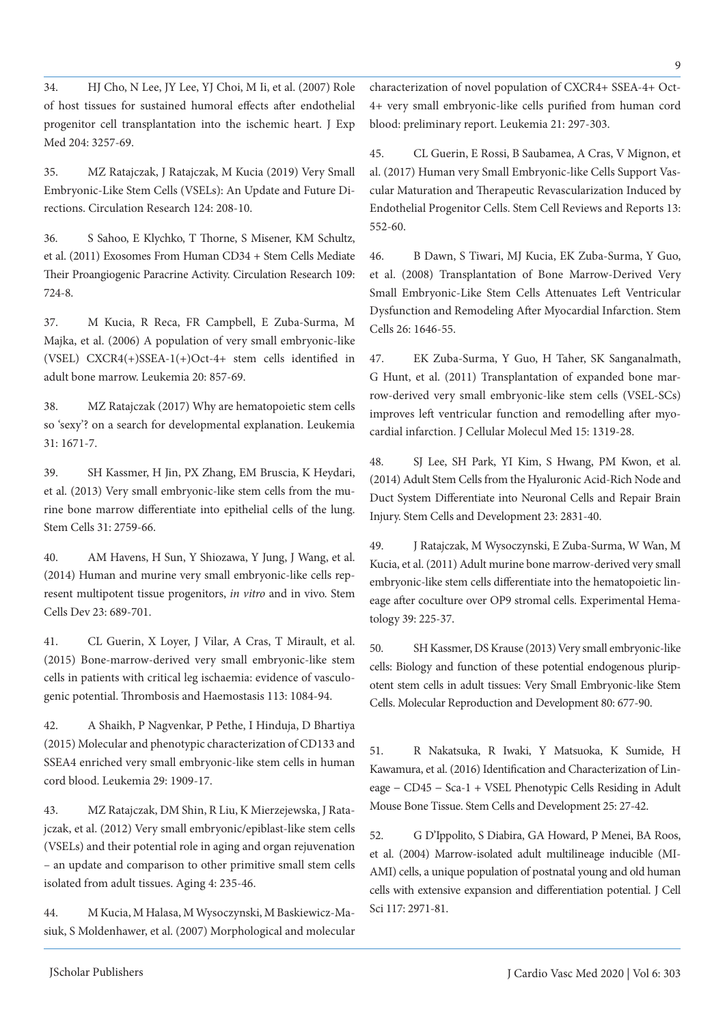34. HJ Cho, N Lee, JY Lee, YJ Choi, M Ii, et al. (2007) Role of host tissues for sustained humoral effects after endothelial progenitor cell transplantation into the ischemic heart. J Exp Med 204: 3257-69.

35. MZ Ratajczak, J Ratajczak, M Kucia (2019) Very Small Embryonic-Like Stem Cells (VSELs): An Update and Future Directions. Circulation Research 124: 208-10.

36. S Sahoo, E Klychko, T Thorne, S Misener, KM Schultz, et al. (2011) Exosomes From Human CD34 + Stem Cells Mediate Their Proangiogenic Paracrine Activity. Circulation Research 109: 724-8.

37. M Kucia, R Reca, FR Campbell, E Zuba-Surma, M Majka, et al. (2006) A population of very small embryonic-like (VSEL) CXCR4(+)SSEA-1(+)Oct-4+ stem cells identified in adult bone marrow. Leukemia 20: 857-69.

38. MZ Ratajczak (2017) Why are hematopoietic stem cells so 'sexy'? on a search for developmental explanation. Leukemia 31: 1671-7.

39. SH Kassmer, H Jin, PX Zhang, EM Bruscia, K Heydari, et al. (2013) Very small embryonic-like stem cells from the murine bone marrow differentiate into epithelial cells of the lung. Stem Cells 31: 2759-66.

40. AM Havens, H Sun, Y Shiozawa, Y Jung, J Wang, et al. (2014) Human and murine very small embryonic-like cells represent multipotent tissue progenitors, *in vitro* and in vivo. Stem Cells Dev 23: 689-701.

41. CL Guerin, X Loyer, J Vilar, A Cras, T Mirault, et al. (2015) Bone-marrow-derived very small embryonic-like stem cells in patients with critical leg ischaemia: evidence of vasculogenic potential. Thrombosis and Haemostasis 113: 1084-94.

42. A Shaikh, P Nagvenkar, P Pethe, I Hinduja, D Bhartiya (2015) Molecular and phenotypic characterization of CD133 and SSEA4 enriched very small embryonic-like stem cells in human cord blood. Leukemia 29: 1909-17.

43. MZ Ratajczak, DM Shin, R Liu, K Mierzejewska, J Ratajczak, et al. (2012) Very small embryonic/epiblast-like stem cells (VSELs) and their potential role in aging and organ rejuvenation – an update and comparison to other primitive small stem cells isolated from adult tissues. Aging 4: 235-46.

44. M Kucia, M Halasa, M Wysoczynski, M Baskiewicz-Masiuk, S Moldenhawer, et al. (2007) Morphological and molecular characterization of novel population of CXCR4+ SSEA-4+ Oct-4+ very small embryonic-like cells purified from human cord blood: preliminary report. Leukemia 21: 297-303.

45. CL Guerin, E Rossi, B Saubamea, A Cras, V Mignon, et al. (2017) Human very Small Embryonic-like Cells Support Vascular Maturation and Therapeutic Revascularization Induced by Endothelial Progenitor Cells. Stem Cell Reviews and Reports 13: 552-60.

46. B Dawn, S Tiwari, MJ Kucia, EK Zuba-Surma, Y Guo, et al. (2008) Transplantation of Bone Marrow-Derived Very Small Embryonic-Like Stem Cells Attenuates Left Ventricular Dysfunction and Remodeling After Myocardial Infarction. Stem Cells 26: 1646-55.

47. EK Zuba‐Surma, Y Guo, H Taher, SK Sanganalmath, G Hunt, et al. (2011) Transplantation of expanded bone marrow-derived very small embryonic-like stem cells (VSEL-SCs) improves left ventricular function and remodelling after myocardial infarction. J Cellular Molecul Med 15: 1319-28.

48. SJ Lee, SH Park, YI Kim, S Hwang, PM Kwon, et al. (2014) Adult Stem Cells from the Hyaluronic Acid-Rich Node and Duct System Differentiate into Neuronal Cells and Repair Brain Injury. Stem Cells and Development 23: 2831-40.

49. J Ratajczak, M Wysoczynski, E Zuba-Surma, W Wan, M Kucia, et al. (2011) Adult murine bone marrow-derived very small embryonic-like stem cells differentiate into the hematopoietic lineage after coculture over OP9 stromal cells. Experimental Hematology 39: 225-37.

50. SH Kassmer, DS Krause (2013) Very small embryonic-like cells: Biology and function of these potential endogenous pluripotent stem cells in adult tissues: Very Small Embryonic-like Stem Cells. Molecular Reproduction and Development 80: 677-90.

51. R Nakatsuka, R Iwaki, Y Matsuoka, K Sumide, H Kawamura, et al. (2016) Identification and Characterization of Lineage − CD45 − Sca-1 + VSEL Phenotypic Cells Residing in Adult Mouse Bone Tissue. Stem Cells and Development 25: 27-42.

52. G D'Ippolito, S Diabira, GA Howard, P Menei, BA Roos, et al. (2004) Marrow-isolated adult multilineage inducible (MI-AMI) cells, a unique population of postnatal young and old human cells with extensive expansion and differentiation potential. J Cell Sci 117: 2971-81.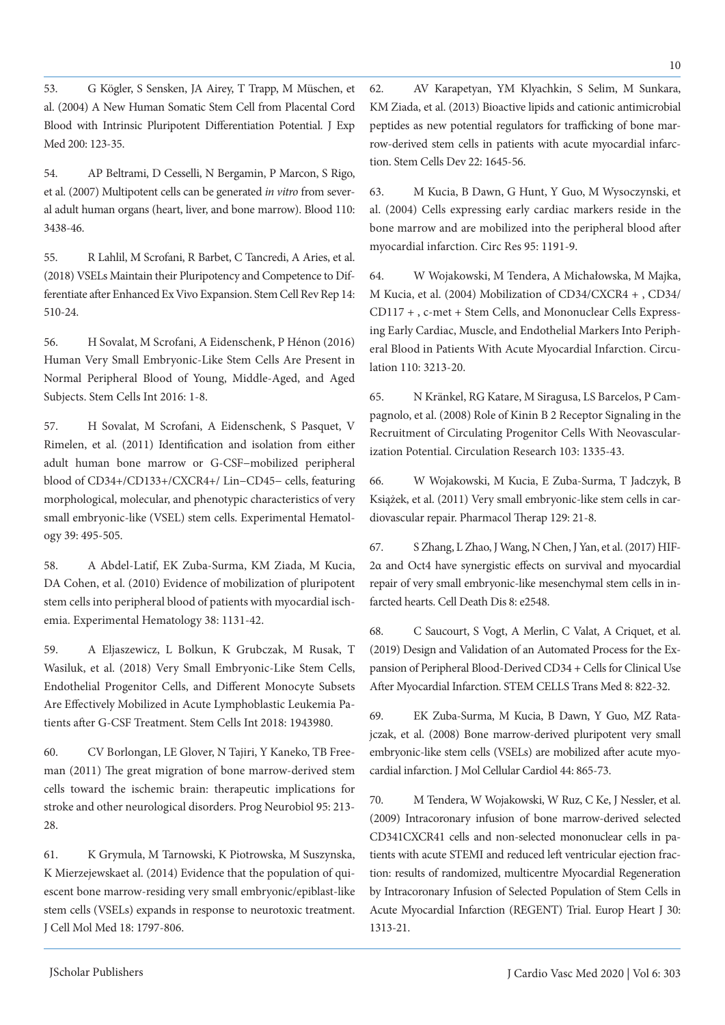53. G Kögler, S Sensken, JA Airey, T Trapp, M Müschen, et al. (2004) A New Human Somatic Stem Cell from Placental Cord Blood with Intrinsic Pluripotent Differentiation Potential. J Exp Med 200: 123-35.

54. AP Beltrami, D Cesselli, N Bergamin, P Marcon, S Rigo, et al. (2007) Multipotent cells can be generated *in vitro* from several adult human organs (heart, liver, and bone marrow). Blood 110: 3438-46.

55. R Lahlil, M Scrofani, R Barbet, C Tancredi, A Aries, et al. (2018) VSELs Maintain their Pluripotency and Competence to Differentiate after Enhanced Ex Vivo Expansion. Stem Cell Rev Rep 14: 510-24.

56. H Sovalat, M Scrofani, A Eidenschenk, P Hénon (2016) Human Very Small Embryonic-Like Stem Cells Are Present in Normal Peripheral Blood of Young, Middle-Aged, and Aged Subjects. Stem Cells Int 2016: 1-8.

57. H Sovalat, M Scrofani, A Eidenschenk, S Pasquet, V Rimelen, et al. (2011) Identification and isolation from either adult human bone marrow or G-CSF−mobilized peripheral blood of CD34+/CD133+/CXCR4+/ Lin−CD45− cells, featuring morphological, molecular, and phenotypic characteristics of very small embryonic-like (VSEL) stem cells. Experimental Hematology 39: 495-505.

58. A Abdel-Latif, EK Zuba-Surma, KM Ziada, M Kucia, DA Cohen, et al. (2010) Evidence of mobilization of pluripotent stem cells into peripheral blood of patients with myocardial ischemia. Experimental Hematology 38: 1131-42.

59. A Eljaszewicz, L Bolkun, K Grubczak, M Rusak, T Wasiluk, et al. (2018) Very Small Embryonic-Like Stem Cells, Endothelial Progenitor Cells, and Different Monocyte Subsets Are Effectively Mobilized in Acute Lymphoblastic Leukemia Patients after G-CSF Treatment. Stem Cells Int 2018: 1943980.

60. CV Borlongan, LE Glover, N Tajiri, Y Kaneko, TB Freeman (2011) The great migration of bone marrow-derived stem cells toward the ischemic brain: therapeutic implications for stroke and other neurological disorders. Prog Neurobiol 95: 213- 28.

61. K Grymula, M Tarnowski, K Piotrowska, M Suszynska, K Mierzejewskaet al. (2014) Evidence that the population of quiescent bone marrow-residing very small embryonic/epiblast-like stem cells (VSELs) expands in response to neurotoxic treatment. J Cell Mol Med 18: 1797-806.

62. AV Karapetyan, YM Klyachkin, S Selim, M Sunkara, KM Ziada, et al. (2013) Bioactive lipids and cationic antimicrobial peptides as new potential regulators for trafficking of bone marrow-derived stem cells in patients with acute myocardial infarction. Stem Cells Dev 22: 1645-56.

63. M Kucia, B Dawn, G Hunt, Y Guo, M Wysoczynski, et al. (2004) Cells expressing early cardiac markers reside in the bone marrow and are mobilized into the peripheral blood after myocardial infarction. Circ Res 95: 1191-9.

64. W Wojakowski, M Tendera, A Michałowska, M Majka, M Kucia, et al. (2004) Mobilization of CD34/CXCR4 + , CD34/ CD117 + , c-met + Stem Cells, and Mononuclear Cells Expressing Early Cardiac, Muscle, and Endothelial Markers Into Peripheral Blood in Patients With Acute Myocardial Infarction. Circulation 110: 3213-20.

65. N Kränkel, RG Katare, M Siragusa, LS Barcelos, P Campagnolo, et al. (2008) Role of Kinin B 2 Receptor Signaling in the Recruitment of Circulating Progenitor Cells With Neovascularization Potential. Circulation Research 103: 1335-43.

66. W Wojakowski, M Kucia, E Zuba-Surma, T Jadczyk, B Książek, et al. (2011) Very small embryonic-like stem cells in cardiovascular repair. Pharmacol Therap 129: 21-8.

67. S Zhang, L Zhao, J Wang, N Chen, J Yan, et al. (2017) HIF-2α and Oct4 have synergistic effects on survival and myocardial repair of very small embryonic-like mesenchymal stem cells in infarcted hearts. Cell Death Dis 8: e2548.

68. C Saucourt, S Vogt, A Merlin, C Valat, A Criquet, et al. (2019) Design and Validation of an Automated Process for the Expansion of Peripheral Blood‐Derived CD34 + Cells for Clinical Use After Myocardial Infarction. STEM CELLS Trans Med 8: 822-32.

69. EK Zuba-Surma, M Kucia, B Dawn, Y Guo, MZ Ratajczak, et al. (2008) Bone marrow-derived pluripotent very small embryonic-like stem cells (VSELs) are mobilized after acute myocardial infarction. J Mol Cellular Cardiol 44: 865-73.

70. M Tendera, W Wojakowski, W Ruz, C Ke, J Nessler, et al. (2009) Intracoronary infusion of bone marrow-derived selected CD341CXCR41 cells and non-selected mononuclear cells in patients with acute STEMI and reduced left ventricular ejection fraction: results of randomized, multicentre Myocardial Regeneration by Intracoronary Infusion of Selected Population of Stem Cells in Acute Myocardial Infarction (REGENT) Trial. Europ Heart J 30: 1313-21.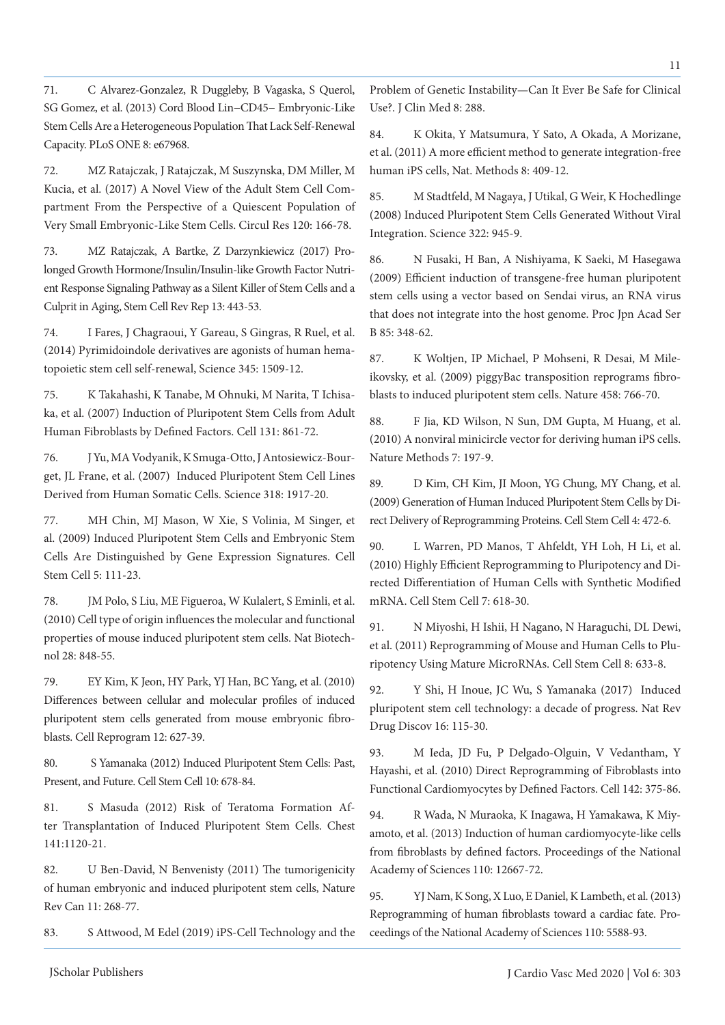71. C Alvarez-Gonzalez, R Duggleby, B Vagaska, S Querol, SG Gomez, et al. (2013) Cord Blood Lin−CD45− Embryonic-Like Stem Cells Are a Heterogeneous Population That Lack Self-Renewal Capacity. PLoS ONE 8: e67968.

72. MZ Ratajczak, J Ratajczak, M Suszynska, DM Miller, M Kucia, et al. (2017) A Novel View of the Adult Stem Cell Compartment From the Perspective of a Quiescent Population of Very Small Embryonic-Like Stem Cells. Circul Res 120: 166-78.

73. MZ Ratajczak, A Bartke, Z Darzynkiewicz (2017) Prolonged Growth Hormone/Insulin/Insulin-like Growth Factor Nutrient Response Signaling Pathway as a Silent Killer of Stem Cells and a Culprit in Aging, Stem Cell Rev Rep 13: 443-53.

74. I Fares, J Chagraoui, Y Gareau, S Gingras, R Ruel, et al. (2014) Pyrimidoindole derivatives are agonists of human hematopoietic stem cell self-renewal, Science 345: 1509-12.

75. K Takahashi, K Tanabe, M Ohnuki, M Narita, T Ichisaka, et al. (2007) Induction of Pluripotent Stem Cells from Adult Human Fibroblasts by Defined Factors. Cell 131: 861-72.

76. J Yu, MA Vodyanik, K Smuga-Otto, J Antosiewicz-Bourget, JL Frane, et al. (2007) Induced Pluripotent Stem Cell Lines Derived from Human Somatic Cells. Science 318: 1917-20.

77. MH Chin, MJ Mason, W Xie, S Volinia, M Singer, et al. (2009) Induced Pluripotent Stem Cells and Embryonic Stem Cells Are Distinguished by Gene Expression Signatures. Cell Stem Cell 5: 111-23.

78. JM Polo, S Liu, ME Figueroa, W Kulalert, S Eminli, et al. (2010) Cell type of origin influences the molecular and functional properties of mouse induced pluripotent stem cells. Nat Biotechnol 28: 848-55.

79. EY Kim, K Jeon, HY Park, YJ Han, BC Yang, et al. (2010) Differences between cellular and molecular profiles of induced pluripotent stem cells generated from mouse embryonic fibroblasts. Cell Reprogram 12: 627-39.

80. S Yamanaka (2012) Induced Pluripotent Stem Cells: Past, Present, and Future. Cell Stem Cell 10: 678-84.

81. S Masuda (2012) Risk of Teratoma Formation After Transplantation of Induced Pluripotent Stem Cells. Chest 141:1120-21.

82. U Ben-David, N Benvenisty (2011) The tumorigenicity of human embryonic and induced pluripotent stem cells, Nature Rev Can 11: 268-77.

83. S Attwood, M Edel (2019) iPS-Cell Technology and the

Problem of Genetic Instability—Can It Ever Be Safe for Clinical Use?. J Clin Med 8: 288.

84. K Okita, Y Matsumura, Y Sato, A Okada, A Morizane, et al. (2011) A more efficient method to generate integration-free human iPS cells, Nat. Methods 8: 409-12.

85. M Stadtfeld, M Nagaya, J Utikal, G Weir, K Hochedlinge (2008) Induced Pluripotent Stem Cells Generated Without Viral Integration. Science 322: 945-9.

86. N Fusaki, H Ban, A Nishiyama, K Saeki, M Hasegawa (2009) Efficient induction of transgene-free human pluripotent stem cells using a vector based on Sendai virus, an RNA virus that does not integrate into the host genome. Proc Jpn Acad Ser B 85: 348-62.

87. K Woltjen, IP Michael, P Mohseni, R Desai, M Mileikovsky, et al. (2009) piggyBac transposition reprograms fibroblasts to induced pluripotent stem cells. Nature 458: 766-70.

88. F Jia, KD Wilson, N Sun, DM Gupta, M Huang, et al. (2010) A nonviral minicircle vector for deriving human iPS cells. Nature Methods 7: 197-9.

89. D Kim, CH Kim, JI Moon, YG Chung, MY Chang, et al. (2009) Generation of Human Induced Pluripotent Stem Cells by Direct Delivery of Reprogramming Proteins. Cell Stem Cell 4: 472-6.

90. L Warren, PD Manos, T Ahfeldt, YH Loh, H Li, et al. (2010) Highly Efficient Reprogramming to Pluripotency and Directed Differentiation of Human Cells with Synthetic Modified mRNA. Cell Stem Cell 7: 618-30.

91. N Miyoshi, H Ishii, H Nagano, N Haraguchi, DL Dewi, et al. (2011) Reprogramming of Mouse and Human Cells to Pluripotency Using Mature MicroRNAs. Cell Stem Cell 8: 633-8.

92. Y Shi, H Inoue, JC Wu, S Yamanaka (2017) Induced pluripotent stem cell technology: a decade of progress. Nat Rev Drug Discov 16: 115-30.

93. M Ieda, JD Fu, P Delgado-Olguin, V Vedantham, Y Hayashi, et al. (2010) Direct Reprogramming of Fibroblasts into Functional Cardiomyocytes by Defined Factors. Cell 142: 375-86.

94. R Wada, N Muraoka, K Inagawa, H Yamakawa, K Miyamoto, et al. (2013) Induction of human cardiomyocyte-like cells from fibroblasts by defined factors. Proceedings of the National Academy of Sciences 110: 12667-72.

95. YJ Nam, K Song, X Luo, E Daniel, K Lambeth, et al. (2013) Reprogramming of human fibroblasts toward a cardiac fate. Proceedings of the National Academy of Sciences 110: 5588-93.